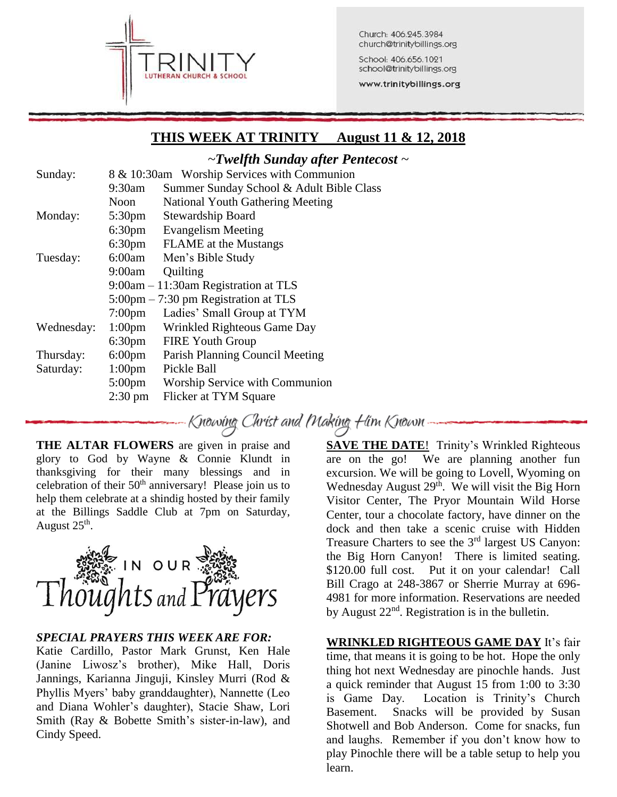

Church: 406.245.3984 church@trinitybillings.org

School: 406.656.1021 school@trinitybillings.org

www.trinitybillings.org

# **THIS WEEK AT TRINITY August 11 & 12, 2018**

## *~Twelfth Sunday after Pentecost ~*

| Sunday:    | 8 & 10:30am Worship Services with Communion |                                                       |  |
|------------|---------------------------------------------|-------------------------------------------------------|--|
|            | 9:30am                                      | Summer Sunday School & Adult Bible Class              |  |
|            | Noon                                        | <b>National Youth Gathering Meeting</b>               |  |
| Monday:    | 5:30 <sub>pm</sub>                          | <b>Stewardship Board</b>                              |  |
|            | 6:30 <sub>pm</sub>                          | <b>Evangelism Meeting</b>                             |  |
|            | 6:30 <sub>pm</sub>                          | <b>FLAME</b> at the Mustangs                          |  |
| Tuesday:   | 6:00am                                      | Men's Bible Study                                     |  |
|            | 9:00am                                      | Quilting                                              |  |
|            |                                             | $9:00$ am $-11:30$ am Registration at TLS             |  |
|            |                                             | $5:00 \text{pm} - 7:30 \text{pm}$ Registration at TLS |  |
|            | $7:00$ pm                                   | Ladies' Small Group at TYM                            |  |
| Wednesday: | 1:00 <sub>pm</sub>                          | Wrinkled Righteous Game Day                           |  |
|            | 6:30 <sub>pm</sub>                          | <b>FIRE Youth Group</b>                               |  |
| Thursday:  | $6:00 \text{pm}$                            | Parish Planning Council Meeting                       |  |
| Saturday:  | $1:00 \text{pm}$                            | Pickle Ball                                           |  |
|            | $5:00 \text{pm}$                            | Worship Service with Communion                        |  |
|            | $2:30 \text{ pm}$                           | Flicker at TYM Square                                 |  |
|            |                                             |                                                       |  |

Knowing Christ and Making Him Known .

**THE ALTAR FLOWERS** are given in praise and glory to God by Wayne & Connie Klundt in thanksgiving for their many blessings and in celebration of their  $50<sup>th</sup>$  anniversary! Please join us to help them celebrate at a shindig hosted by their family at the Billings Saddle Club at 7pm on Saturday, August  $25^{\text{th}}$ .



### *SPECIAL PRAYERS THIS WEEK ARE FOR:*

Katie Cardillo, Pastor Mark Grunst, Ken Hale (Janine Liwosz's brother), Mike Hall, Doris Jannings, Karianna Jinguji, Kinsley Murri (Rod & Phyllis Myers' baby granddaughter), Nannette (Leo and Diana Wohler's daughter), Stacie Shaw, Lori Smith (Ray & Bobette Smith's sister-in-law), and Cindy Speed.

**SAVE THE DATE!** Trinity's Wrinkled Righteous are on the go! We are planning another fun excursion. We will be going to Lovell, Wyoming on Wednesday August  $29<sup>th</sup>$ . We will visit the Big Horn Visitor Center, The Pryor Mountain Wild Horse Center, tour a chocolate factory, have dinner on the dock and then take a scenic cruise with Hidden Treasure Charters to see the 3<sup>rd</sup> largest US Canyon: the Big Horn Canyon! There is limited seating. \$120.00 full cost. Put it on your calendar! Call Bill Crago at 248-3867 or Sherrie Murray at 696- 4981 for more information. Reservations are needed by August  $22<sup>nd</sup>$ . Registration is in the bulletin.

### **WRINKLED RIGHTEOUS GAME DAY** It's fair

time, that means it is going to be hot. Hope the only thing hot next Wednesday are pinochle hands. Just a quick reminder that August 15 from 1:00 to 3:30 is Game Day. Location is Trinity's Church Basement. Snacks will be provided by Susan Shotwell and Bob Anderson. Come for snacks, fun and laughs. Remember if you don't know how to play Pinochle there will be a table setup to help you learn.